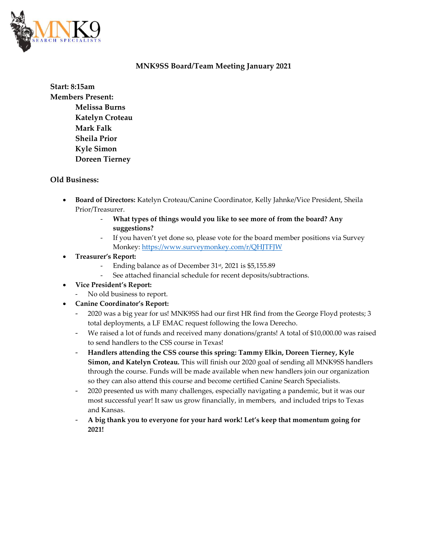

### **MNK9SS Board/Team Meeting January 2021**

**Start: 8:15am Members Present: Melissa Burns Katelyn Croteau Mark Falk Sheila Prior Kyle Simon Doreen Tierney** 

### **Old Business:**

- **Board of Directors:** Katelyn Croteau/Canine Coordinator, Kelly Jahnke/Vice President, Sheila Prior/Treasurer.
	- What types of things would you like to see more of from the board? Any **suggestions?**
	- If you haven't yet done so, please vote for the board member positions via Survey Monkey[: https://www.surveymonkey.com/r/QHJTFJW](https://www.surveymonkey.com/r/QHJTFJW)
- **Treasurer's Report:** 
	- Ending balance as of December 31<sup>st</sup>, 2021 is \$5,155.89
	- See attached financial schedule for recent deposits/subtractions.
- **Vice President's Report:**
	- No old business to report.
- **Canine Coordinator's Report:**
	- 2020 was a big year for us! MNK9SS had our first HR find from the George Floyd protests; 3 total deployments, a LF EMAC request following the Iowa Derecho.
	- We raised a lot of funds and received many donations/grants! A total of \$10,000.00 was raised to send handlers to the CSS course in Texas!
	- **Handlers attending the CSS course this spring: Tammy Elkin, Doreen Tierney, Kyle Simon, and Katelyn Croteau.** This will finish our 2020 goal of sending all MNK9SS handlers through the course. Funds will be made available when new handlers join our organization so they can also attend this course and become certified Canine Search Specialists.
	- 2020 presented us with many challenges, especially navigating a pandemic, but it was our most successful year! It saw us grow financially, in members, and included trips to Texas and Kansas.
	- **A big thank you to everyone for your hard work! Let's keep that momentum going for 2021!**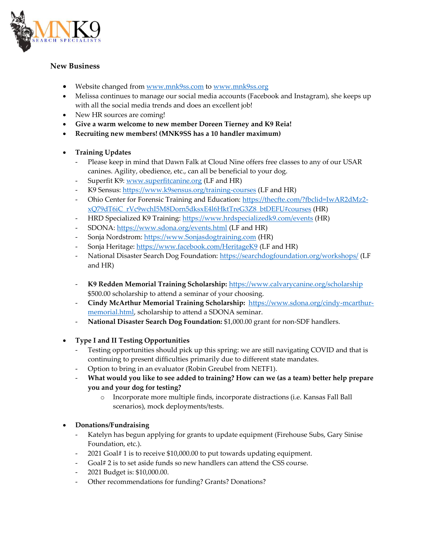

# **New Business**

- Website changed from [www.mnk9ss.com](http://www.mnk9ss.com/) to [www.mnk9ss.org](http://www.mnk9ss.org/)
- Melissa continues to manage our social media accounts (Facebook and Instagram), she keeps up with all the social media trends and does an excellent job!
- New HR sources are coming!
- **Give a warm welcome to new member Doreen Tierney and K9 Reia!**
- **Recruiting new members! (MNK9SS has a 10 handler maximum)**

### • **Training Updates**

- Please keep in mind that Dawn Falk at Cloud Nine offers free classes to any of our USAR canines. Agility, obedience, etc., can all be beneficial to your dog.
- Superfit K9: [www.superfitcanine.org](http://www.superfitcanine.org/) (LF and HR)
- K9 Sensus:<https://www.k9sensus.org/training-courses> (LF and HR)
- Ohio Center for Forensic Training and Education: [https://thecfte.com/?fbclid=IwAR2dMz2](https://thecfte.com/?fbclid=IwAR2dMz2-xQ79dT6iC_rVc9wchI5M8Dorn5dksxE4l6HktTreG3Z8_btDEFU#courses) [xQ79dT6iC\\_rVc9wchI5M8Dorn5dksxE4l6HktTreG3Z8\\_btDEFU#courses](https://thecfte.com/?fbclid=IwAR2dMz2-xQ79dT6iC_rVc9wchI5M8Dorn5dksxE4l6HktTreG3Z8_btDEFU#courses) (HR)
- HRD Specialized K9 Training[: https://www.hrdspecializedk9.com/events](https://www.hrdspecializedk9.com/events) (HR)
- SDONA: <https://www.sdona.org/events.html> (LF and HR)
- Sonja Nordstrom: [https://www.Sonjasdogtraining.com](https://www.sonjasdogtraining.com/) (HR)
- Sonja Heritage: <https://www.facebook.com/HeritageK9> (LF and HR)
- National Disaster Search Dog Foundation:<https://searchdogfoundation.org/workshops/> (LF and HR)
- **K9 Redden Memorial Training Scholarship:** <https://www.calvarycanine.org/scholarship> \$500.00 scholarship to attend a seminar of your choosing.
- **Cindy McArthur Memorial Training Scholarship:** [https://www.sdona.org/cindy-mcarthur](https://www.sdona.org/cindy-mcarthur-memorial.html)[memorial.html,](https://www.sdona.org/cindy-mcarthur-memorial.html) scholarship to attend a SDONA seminar.
- **National Disaster Search Dog Foundation:** \$1,000.00 grant for non-SDF handlers.

# • **Type I and II Testing Opportunities**

- Testing opportunities should pick up this spring: we are still navigating COVID and that is continuing to present difficulties primarily due to different state mandates.
- Option to bring in an evaluator (Robin Greubel from NETF1).
- **What would you like to see added to training? How can we (as a team) better help prepare you and your dog for testing?**
	- o Incorporate more multiple finds, incorporate distractions (i.e. Kansas Fall Ball scenarios), mock deployments/tests.

# • **Donations/Fundraising**

- Katelyn has begun applying for grants to update equipment (Firehouse Subs, Gary Sinise Foundation, etc.).
- 2021 Goal# 1 is to receive \$10,000.00 to put towards updating equipment.
- Goal# 2 is to set aside funds so new handlers can attend the CSS course.
- 2021 Budget is: \$10,000.00.
- Other recommendations for funding? Grants? Donations?